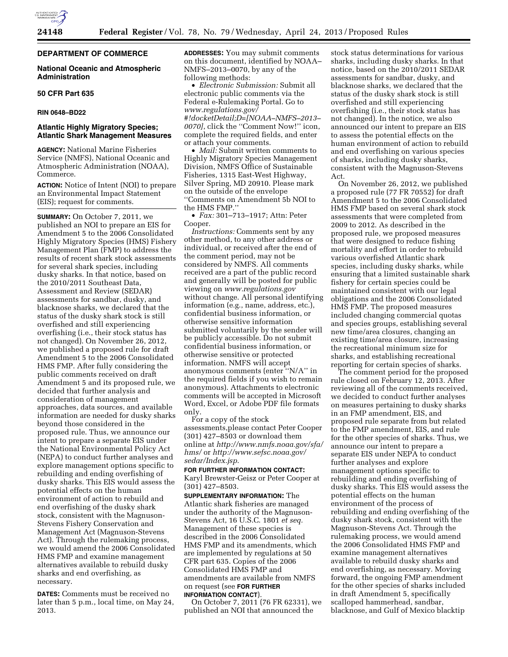# **DEPARTMENT OF COMMERCE**

# **National Oceanic and Atmospheric Administration**

### **50 CFR Part 635**

### **RIN 0648–BD22**

# **Atlantic Highly Migratory Species; Atlantic Shark Management Measures**

**AGENCY:** National Marine Fisheries Service (NMFS), National Oceanic and Atmospheric Administration (NOAA), Commerce.

**ACTION:** Notice of Intent (NOI) to prepare an Environmental Impact Statement (EIS); request for comments.

**SUMMARY:** On October 7, 2011, we published an NOI to prepare an EIS for Amendment 5 to the 2006 Consolidated Highly Migratory Species (HMS) Fishery Management Plan (FMP) to address the results of recent shark stock assessments for several shark species, including dusky sharks. In that notice, based on the 2010/2011 Southeast Data, Assessment and Review (SEDAR) assessments for sandbar, dusky, and blacknose sharks, we declared that the status of the dusky shark stock is still overfished and still experiencing overfishing (i.e., their stock status has not changed). On November 26, 2012, we published a proposed rule for draft Amendment 5 to the 2006 Consolidated HMS FMP. After fully considering the public comments received on draft Amendment 5 and its proposed rule, we decided that further analysis and consideration of management approaches, data sources, and available information are needed for dusky sharks beyond those considered in the proposed rule. Thus, we announce our intent to prepare a separate EIS under the National Environmental Policy Act (NEPA) to conduct further analyses and explore management options specific to rebuilding and ending overfishing of dusky sharks. This EIS would assess the potential effects on the human environment of action to rebuild and end overfishing of the dusky shark stock, consistent with the Magnuson-Stevens Fishery Conservation and Management Act (Magnuson-Stevens Act). Through the rulemaking process, we would amend the 2006 Consolidated HMS FMP and examine management alternatives available to rebuild dusky sharks and end overfishing, as necessary.

**DATES:** Comments must be received no later than 5 p.m., local time, on May 24, 2013.

**ADDRESSES:** You may submit comments on this document, identified by NOAA– NMFS–2013–0070, by any of the following methods:

• *Electronic Submission:* Submit all electronic public comments via the Federal e-Rulemaking Portal. Go to *[www.regulations.gov/](http://www.regulations.gov) #!docketDetail;D=[NOAA–NMFS–2013– 0070]*, click the ''Comment Now!'' icon, complete the required fields, and enter or attach your comments.

• *Mail:* Submit written comments to Highly Migratory Species Management Division, NMFS Office of Sustainable Fisheries, 1315 East-West Highway, Silver Spring, MD 20910. Please mark on the outside of the envelope ''Comments on Amendment 5b NOI to the HMS FMP.''

• *Fax:* 301–713–1917; Attn: Peter Cooper.

*Instructions:* Comments sent by any other method, to any other address or individual, or received after the end of the comment period, may not be considered by NMFS. All comments received are a part of the public record and generally will be posted for public viewing on *[www.regulations.gov](http://www.regulations.gov)*  without change. All personal identifying information (e.g., name, address, etc.), confidential business information, or otherwise sensitive information submitted voluntarily by the sender will be publicly accessible. Do not submit confidential business information, or otherwise sensitive or protected information. NMFS will accept anonymous comments (enter ''N/A'' in the required fields if you wish to remain anonymous). Attachments to electronic comments will be accepted in Microsoft Word, Excel, or Adobe PDF file formats only.

For a copy of the stock assessments,please contact Peter Cooper (301) 427–8503 or download them online at *[http://www.nmfs.noaa.gov/sfa/](http://www.nmfs.noaa.gov/sfa/hms/)  [hms/](http://www.nmfs.noaa.gov/sfa/hms/)* or *[http://www.sefsc.noaa.gov/](http://www.sefsc.noaa.gov/sedar/Index.jsp) [sedar/Index.jsp](http://www.sefsc.noaa.gov/sedar/Index.jsp)*.

### **FOR FURTHER INFORMATION CONTACT:**  Karyl Brewster-Geisz or Peter Cooper at (301) 427–8503.

**SUPPLEMENTARY INFORMATION:** The Atlantic shark fisheries are managed under the authority of the Magnuson-Stevens Act, 16 U.S.C. 1801 *et seq.*  Management of these species is described in the 2006 Consolidated HMS FMP and its amendments, which are implemented by regulations at 50 CFR part 635. Copies of the 2006 Consolidated HMS FMP and amendments are available from NMFS on request (see **FOR FURTHER INFORMATION CONTACT**).

On October 7, 2011 (76 FR 62331), we published an NOI that announced the

stock status determinations for various sharks, including dusky sharks. In that notice, based on the 2010/2011 SEDAR assessments for sandbar, dusky, and blacknose sharks, we declared that the status of the dusky shark stock is still overfished and still experiencing overfishing (i.e., their stock status has not changed). In the notice, we also announced our intent to prepare an EIS to assess the potential effects on the human environment of action to rebuild and end overfishing on various species of sharks, including dusky sharks, consistent with the Magnuson-Stevens Act.

On November 26, 2012, we published a proposed rule (77 FR 70552) for draft Amendment 5 to the 2006 Consolidated HMS FMP based on several shark stock assessments that were completed from 2009 to 2012. As described in the proposed rule, we proposed measures that were designed to reduce fishing mortality and effort in order to rebuild various overfished Atlantic shark species, including dusky sharks, while ensuring that a limited sustainable shark fishery for certain species could be maintained consistent with our legal obligations and the 2006 Consolidated HMS FMP. The proposed measures included changing commercial quotas and species groups, establishing several new time/area closures, changing an existing time/area closure, increasing the recreational minimum size for sharks, and establishing recreational reporting for certain species of sharks.

The comment period for the proposed rule closed on February 12, 2013. After reviewing all of the comments received, we decided to conduct further analyses on measures pertaining to dusky sharks in an FMP amendment, EIS, and proposed rule separate from but related to the FMP amendment, EIS, and rule for the other species of sharks. Thus, we announce our intent to prepare a separate EIS under NEPA to conduct further analyses and explore management options specific to rebuilding and ending overfishing of dusky sharks. This EIS would assess the potential effects on the human environment of the process of rebuilding and ending overfishing of the dusky shark stock, consistent with the Magnuson-Stevens Act. Through the rulemaking process, we would amend the 2006 Consolidated HMS FMP and examine management alternatives available to rebuild dusky sharks and end overfishing, as necessary. Moving forward, the ongoing FMP amendment for the other species of sharks included in draft Amendment 5, specifically scalloped hammerhead, sandbar, blacknose, and Gulf of Mexico blacktip